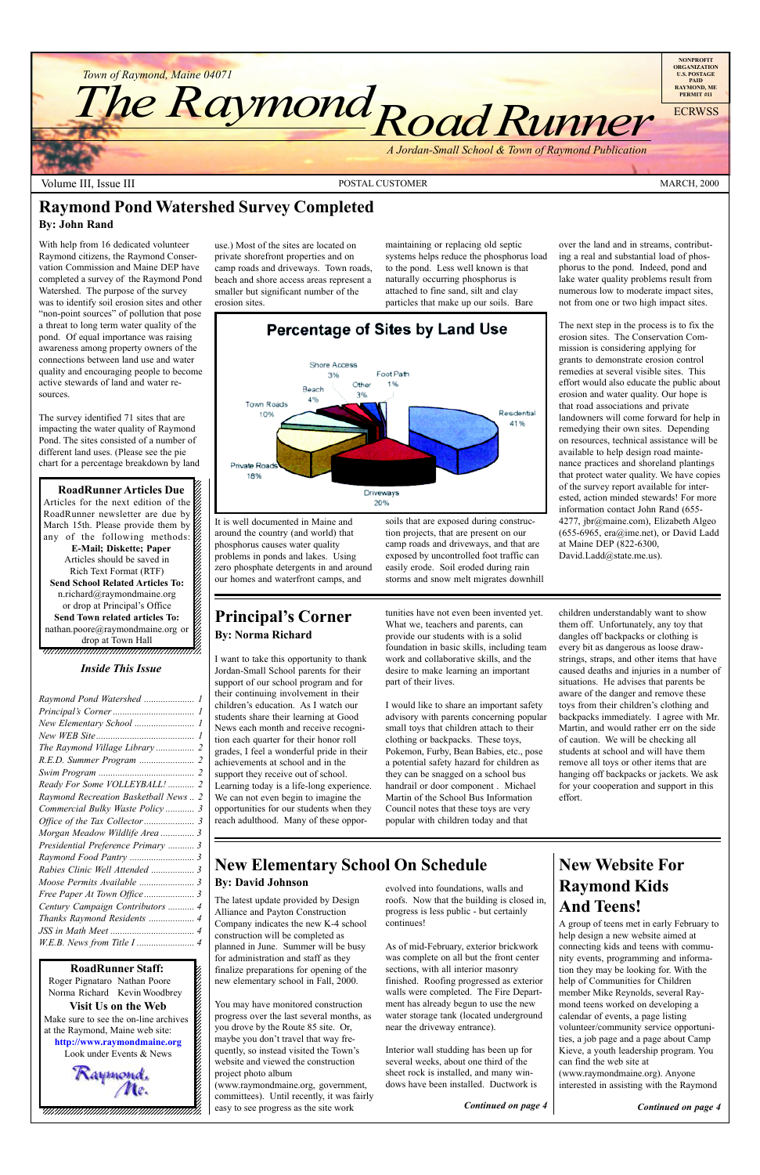12345678901234567890123456789012345678901234567890123456789012345678901234567890123456789012345678901234567890 12345678901234567890123456789012123456789012345678

**RoadRunner Articles Due** Articles for the next edition of the  $\mathscr{C}$  $1235678901234567890123456789012345678901234567890123456789012345678901234567890123456789012345678901234567890123456789012345678901234567890123456789012345678901234567890123456789012345678901234567890123456789012345678901$ RoadRunner newsletter are due by  $\%$ March 15th. Please provide them by any of the following methods: **E-Mail; Diskette; Paper** Articles should be saved in 1 and 1 and 1 and 1 and 1 and 1 and 1 and 1 and 1 and 1 and 1 and 1 and 1 and 1 and 1 and 1 and 1 and 1 and 1 Rich Text Format (RTF) **Send School Related Articles To:**  $1235678901234567890123456789012345678901234567890123456789012345678901234567890123456789012345678901234567890123456789012345678901234567890123456789012345678901234567890123456789012345678901234567890123456789012345678901$ n.richard@raymondmaine.org  $\%$ or drop at Principal's Office  $\frac{1}{2}$ **Send Town related articles To:** nathan.poore@raymondmaine.org or drop at Town Hall  $1$  8  $1$  8  $1$  8  $1$  8  $1$  8  $1$  8  $1$ 



Volume III, Issue III and the Contract of the POSTAL CUSTOMER And the MARCH, 2000 MARCH, 2000

#### **Principal's Corner By: Norma Richard**

### **New Elementary School On Schedule By: David Johnson** evolved into foundations, walls and

12345678901234567890123456789012123456789012345678  $18.8$  8  $\pm$  8  $\pm$  8  $\pm$  8  $\pm$  8  $\pm$  8  $\pm$  8  $\pm$  8  $\pm$  8  $\pm$  8  $\pm$  8  $\pm$  8  $\pm$  8  $\pm$  8  $\pm$  8  $\pm$  8  $\pm$  8  $\pm$  8  $\pm$  8  $\pm$  8  $\pm$  8  $\pm$  8  $\pm$  8  $\pm$  8  $\pm$  8  $\pm$  8  $\pm$  8  $\pm$  8  $\pm$  8  $\pm$  8  $\pm$  8  $\$ 12345678901234567890123456789012123456789012345678 12345678901234567890123456789012123456789012345678 12345678901234567890123456789012123456789012345678

### **Raymond Pond Watershed Survey Completed**

#### **By: John Rand**

With help from 16 dedicated volunteer Raymond citizens, the Raymond Conservation Commission and Maine DEP have completed a survey of the Raymond Pond Watershed. The purpose of the survey was to identify soil erosion sites and other "non-point sources" of pollution that pose a threat to long term water quality of the pond. Of equal importance was raising awareness among property owners of the connections between land use and water quality and encouraging people to become active stewards of land and water resources.

The survey identified 71 sites that are impacting the water quality of Raymond Pond. The sites consisted of a number of different land uses. (Please see the pie chart for a percentage breakdown by land

The next step in the process is to fix the erosion sites. The Conservation Commission is considering applying for grants to demonstrate erosion control remedies at several visible sites. This effort would also educate the public about erosion and water quality. Our hope is that road associations and private landowners will come forward for help in remedying their own sites. Depending on resources, technical assistance will be available to help design road maintenance practices and shoreland plantings that protect water quality. We have copies of the survey report available for interested, action minded stewards! For more information contact John Rand (655- 4277, jbr@maine.com), Elizabeth Algeo (655-6965, era@ime.net), or David Ladd at Maine DEP (822-6300, David.Ladd@state.me.us).

#### Shore Access Foot Path 3% Other Beach 3% 4% Town Roads Residentia 10% 41% Private Road 18% Driveways 20%

Percentage of Sites by Land Use

use.) Most of the sites are located on private shorefront properties and on camp roads and driveways. Town roads, beach and shore access areas represent a smaller but significant number of the erosion sites.

It is well documented in Maine and around the country (and world) that phosphorus causes water quality problems in ponds and lakes. Using zero phosphate detergents in and around our homes and waterfront camps, and

maintaining or replacing old septic systems helps reduce the phosphorus load to the pond. Less well known is that naturally occurring phosphorus is attached to fine sand, silt and clay particles that make up our soils. Bare

#### 12345678901234567890123456789012123456789012345678 12345678901234567890123456789012123456789012345678 *Inside This Issue*

soils that are exposed during construction projects, that are present on our camp roads and driveways, and that are exposed by uncontrolled foot traffic can easily erode. Soil eroded during rain storms and snow melt migrates downhill

I want to take this opportunity to thank Jordan-Small School parents for their support of our school program and for their continuing involvement in their children's education. As I watch our students share their learning at Good News each month and receive recognition each quarter for their honor roll grades, I feel a wonderful pride in their achievements at school and in the support they receive out of school. Learning today is a life-long experience. We can not even begin to imagine the opportunities for our students when they reach adulthood. Many of these opportunities have not even been invented yet. What we, teachers and parents, can provide our students with is a solid foundation in basic skills, including team work and collaborative skills, and the desire to make learning an important part of their lives.

I would like to share an important safety advisory with parents concerning popular small toys that children attach to their clothing or backpacks. These toys, Pokemon, Furby, Bean Babies, etc., pose a potential safety hazard for children as they can be snagged on a school bus handrail or door component . Michael Martin of the School Bus Information Council notes that these toys are very popular with children today and that

children understandably want to show them off. Unfortunately, any toy that dangles off backpacks or clothing is every bit as dangerous as loose drawstrings, straps, and other items that have caused deaths and injuries in a number of situations. He advises that parents be aware of the danger and remove these toys from their children's clothing and backpacks immediately. I agree with Mr. Martin, and would rather err on the side of caution. We will be checking all students at school and will have them remove all toys or other items that are hanging off backpacks or jackets. We ask for your cooperation and support in this effort.

roofs. Now that the building is closed in, progress is less public - but certainly continues!

As of mid-February, exterior brickwork was complete on all but the front center sections, with all interior masonry finished. Roofing progressed as exterior walls were completed. The Fire Department has already begun to use the new water storage tank (located underground near the driveway entrance).

Interior wall studding has been up for several weeks, about one third of the sheet rock is installed, and many windows have been installed. Ductwork is

The latest update provided by Design Alliance and Payton Construction Company indicates the new K-4 school construction will be completed as planned in June. Summer will be busy for administration and staff as they finalize preparations for opening of the new elementary school in Fall, 2000.

You may have monitored construction progress over the last several months, as you drove by the Route 85 site. Or, maybe you don't travel that way frequently, so instead visited the Town's website and viewed the construction project photo album

(www.raymondmaine.org, government, committees). Until recently, it was fairly easy to see progress as the site work *Continued on page 4*

# **New Website For Raymond Kids And Teens!**

**RoadRunner Staff:** 12345678901234567890123456789012123456789012345678 Roger Pignataro Nathan Poore & 12345678901234567890123456789012123456789012345678 Norma Richard Kevin Woodbrey  $\frac{2}{3}$  $18.8$ **Visit Us on the Web**  $1235678901234567890123456789012345678901234567890123456789012345678901234567890123456789012345678901234567890123456789012345678901234567890123456789012345678901234567890123456789012345678901234567890123456789012345678901$ Make sure to see the on-line archives  $\%$ at the Raymond, Maine web site:  $\&$ 12345678901234567890123456789012123456789012345678 **http://www.raymondmaine.org** Look under Events  $&$  News 12345678901234567890123456789012123456789012345678 Raymond.<br>Me.

A group of teens met in early February to help design a new website aimed at connecting kids and teens with community events, programming and information they may be looking for. With the help of Communities for Children member Mike Reynolds, several Raymond teens worked on developing a calendar of events, a page listing volunteer/community service opportunities, a job page and a page about Camp Kieve, a youth leadership program. You can find the web site at (www.raymondmaine.org). Anyone interested in assisting with the Raymond

*Continued on page 4*

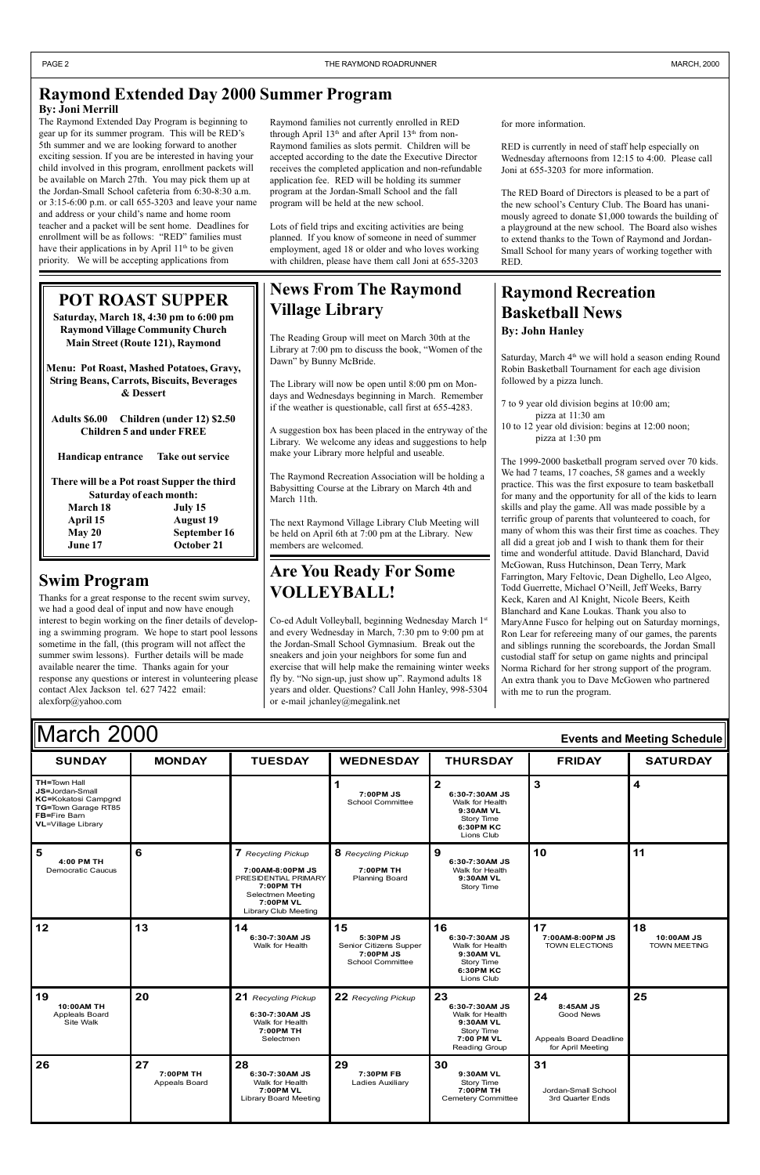**5**

**6 7** *Recycling Pickup*

**8** *Recycling Pickup*

**9**

**1 1 0 1**

| <b>March 2000</b><br>Events and Meeting Schedule                                                                           |               |                |                                      |                                                                                         |               |                 |  |
|----------------------------------------------------------------------------------------------------------------------------|---------------|----------------|--------------------------------------|-----------------------------------------------------------------------------------------|---------------|-----------------|--|
| <b>SUNDAY</b>                                                                                                              | <b>MONDAY</b> | <b>TUESDAY</b> | <b>WEDNESDAY</b>                     | <b>THURSDAY</b>                                                                         | <b>FRIDAY</b> | <b>SATURDAY</b> |  |
| TH=Town Hall<br>JS=Jordan-Small<br>KC=Kokatosi Campgnd<br>TG=Town Garage RT85<br>FB=Fire Barn<br><b>VL=Village Library</b> |               |                | 7:00PM JS<br><b>School Committee</b> | 6:30-7:30AM JS<br>Walk for Health<br>9:30AM VL<br>Story Time<br>6:30PM KC<br>Lions Club |               | 4               |  |

The Reading Group will meet on March 30th at the Library at 7:00 pm to discuss the book, "Women of the Dawn" by Bunny McBride.

| 4:00 PM TH<br>Democratic Caucus                        |    | $\ldots$<br>7:00AM-8:00PM JS<br>PRESIDENTIAL PRIMARY<br>7:00PM TH<br>Selectmen Meeting<br>7:00PM VL<br>Library Club Meeting | 7:00PM TH<br><b>Planning Board</b>                                                | 6:30-7:30AM JS<br>Walk for Health<br>9:30AM VL<br>Story Time                                      |                                                                                    |                                         |
|--------------------------------------------------------|----|-----------------------------------------------------------------------------------------------------------------------------|-----------------------------------------------------------------------------------|---------------------------------------------------------------------------------------------------|------------------------------------------------------------------------------------|-----------------------------------------|
| $ 12\rangle$                                           | 13 | 14<br>6:30-7:30AM JS<br>Walk for Health                                                                                     | 15<br>5:30PM JS<br>Senior Citizens Supper<br>7:00PM JS<br><b>School Committee</b> | 16<br>6:30-7:30AM JS<br>Walk for Health<br>9:30AM VL<br>Story Time<br>6:30PM KC<br>Lions Club     | 17<br>7:00AM-8:00PM JS<br><b>TOWN ELECTIONS</b>                                    | 18<br>10:00AM JS<br><b>TOWN MEETING</b> |
|                                                        |    |                                                                                                                             |                                                                                   |                                                                                                   |                                                                                    |                                         |
| 19<br>10:00AM TH<br><b>Appleals Board</b><br>Site Walk | 20 | 21 Recycling Pickup<br>6:30-7:30AM JS<br>Walk for Health<br>7:00PM TH<br>Selectmen                                          | 22 Recycling Pickup                                                               | 23<br>6:30-7:30AM JS<br>Walk for Health<br>9:30AM VL<br>Story Time<br>7:00 PM VL<br>Reading Group | 24<br>8:45AM JS<br><b>Good News</b><br>Appeals Board Deadline<br>for April Meeting | 25                                      |

Saturday, March 4<sup>th</sup> we will hold a season ending Round Robin Basketball Tournament for each age division followed by a pizza lunch.

# **News From The Raymond Village Library**

The Library will now be open until 8:00 pm on Mondays and Wednesdays beginning in March. Remember if the weather is questionable, call first at 655-4283.

A suggestion box has been placed in the entryway of the Library. We welcome any ideas and suggestions to help make your Library more helpful and useable.

The Raymond Recreation Association will be holding a Babysitting Course at the Library on March 4th and March 11th.

The next Raymond Village Library Club Meeting will be held on April 6th at 7:00 pm at the Library. New members are welcomed.

#### **Raymond Recreation Basketball News By: John Hanley**

- 7 to 9 year old division begins at 10:00 am; pizza at 11:30 am
- 10 to 12 year old division: begins at 12:00 noon; pizza at 1:30 pm

The 1999-2000 basketball program served over 70 kids. We had 7 teams, 17 coaches, 58 games and a weekly practice. This was the first exposure to team basketball for many and the opportunity for all of the kids to learn skills and play the game. All was made possible by a terrific group of parents that volunteered to coach, for many of whom this was their first time as coaches. They all did a great job and I wish to thank them for their time and wonderful attitude. David Blanchard, David McGowan, Russ Hutchinson, Dean Terry, Mark Farrington, Mary Feltovic, Dean Dighello, Leo Algeo, Todd Guerrette, Michael O'Neill, Jeff Weeks, Barry Keck, Karen and Al Knight, Nicole Beers, Keith Blanchard and Kane Loukas. Thank you also to MaryAnne Fusco for helping out on Saturday mornings, Ron Lear for refereeing many of our games, the parents and siblings running the scoreboards, the Jordan Small custodial staff for setup on game nights and principal Norma Richard for her strong support of the program. An extra thank you to Dave McGowen who partnered with me to run the program.

### **Swim Program**

Thanks for a great response to the recent swim survey, we had a good deal of input and now have enough interest to begin working on the finer details of developing a swimming program. We hope to start pool lessons sometime in the fall, (this program will not affect the summer swim lessons). Further details will be made available nearer the time. Thanks again for your response any questions or interest in volunteering please contact Alex Jackson tel. 627 7422 email: alexforp@yahoo.com

### **Are You Ready For Some VOLLEYBALL!**

Co-ed Adult Volleyball, beginning Wednesday March 1st and every Wednesday in March, 7:30 pm to 9:00 pm at the Jordan-Small School Gymnasium. Break out the sneakers and join your neighbors for some fun and exercise that will help make the remaining winter weeks fly by. "No sign-up, just show up". Raymond adults 18 years and older. Questions? Call John Hanley, 998-5304 or e-mail jchanley@megalink.net

#### **POT ROAST SUPPER**

**Saturday, March 18, 4:30 pm to 6:00 pm Raymond Village Community Church Main Street (Route 121), Raymond**

**Menu: Pot Roast, Mashed Potatoes, Gravy, String Beans, Carrots, Biscuits, Beverages & Dessert**

**Adults \$6.00 Children (under 12) \$2.50 Children 5 and under FREE**

**Handicap entrance Take out service**

**There will be a Pot roast Supper the third Saturday of each month: March 18 July 15 April 15 August 19 May 20 September 16 June 17 October 21**

#### **Raymond Extended Day 2000 Summer Program By: Joni Merrill**

The Raymond Extended Day Program is beginning to gear up for its summer program. This will be RED's 5th summer and we are looking forward to another exciting session. If you are be interested in having your child involved in this program, enrollment packets will be available on March 27th. You may pick them up at the Jordan-Small School cafeteria from 6:30-8:30 a.m. or 3:15-6:00 p.m. or call 655-3203 and leave your name and address or your child's name and home room teacher and a packet will be sent home. Deadlines for enrollment will be as follows: "RED" families must have their applications in by April 11<sup>th</sup> to be given priority. We will be accepting applications from

Raymond families not currently enrolled in RED through April  $13<sup>th</sup>$  and after April  $13<sup>th</sup>$  from non-Raymond families as slots permit. Children will be accepted according to the date the Executive Director receives the completed application and non-refundable application fee. RED will be holding its summer program at the Jordan-Small School and the fall program will be held at the new school.

Lots of field trips and exciting activities are being planned. If you know of someone in need of summer employment, aged 18 or older and who loves working with children, please have them call Joni at 655-3203

for more information.

RED is currently in need of staff help especially on Wednesday afternoons from 12:15 to 4:00. Please call Joni at 655-3203 for more information.

The RED Board of Directors is pleased to be a part of the new school's Century Club. The Board has unanimously agreed to donate \$1,000 towards the building of a playground at the new school. The Board also wishes to extend thanks to the Town of Raymond and Jordan-Small School for many years of working together with RED.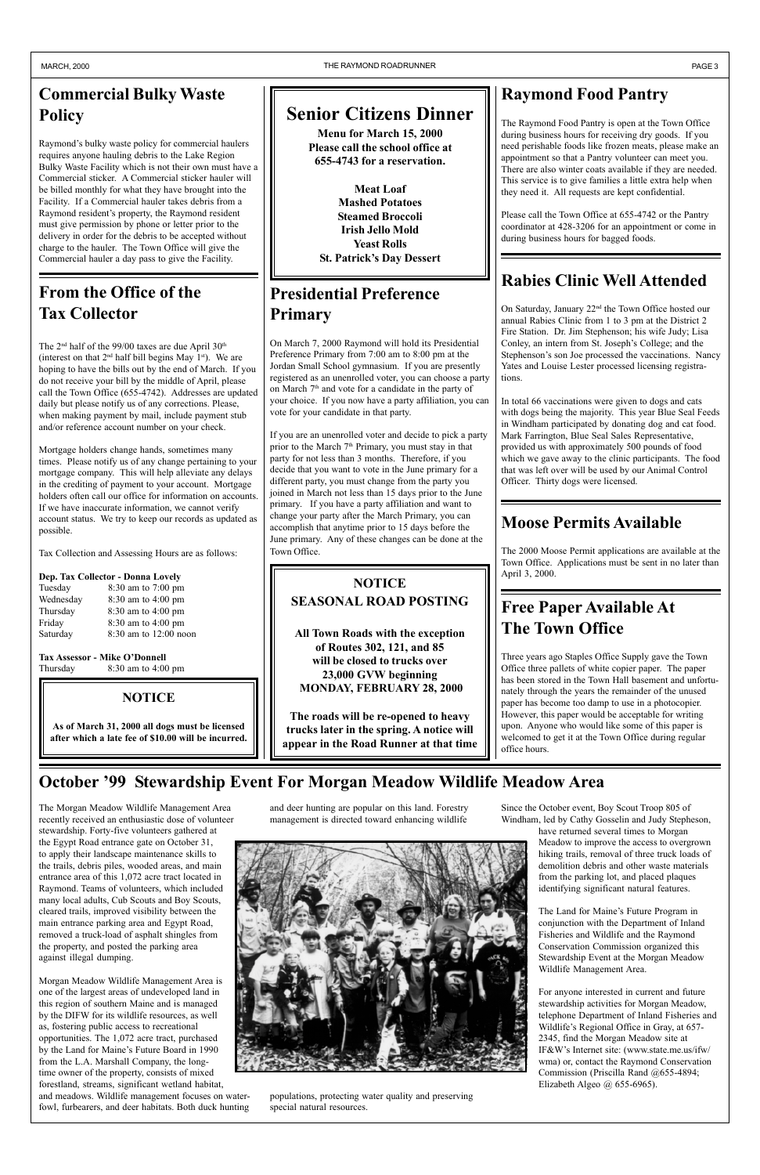# **Commercial Bulky Waste Policy**

Raymond's bulky waste policy for commercial haulers requires anyone hauling debris to the Lake Region Bulky Waste Facility which is not their own must have a Commercial sticker. A Commercial sticker hauler will be billed monthly for what they have brought into the Facility. If a Commercial hauler takes debris from a Raymond resident's property, the Raymond resident must give permission by phone or letter prior to the delivery in order for the debris to be accepted without charge to the hauler. The Town Office will give the Commercial hauler a day pass to give the Facility.

# **Raymond Food Pantry**

The Raymond Food Pantry is open at the Town Office during business hours for receiving dry goods. If you need perishable foods like frozen meats, please make an appointment so that a Pantry volunteer can meet you. There are also winter coats available if they are needed. This service is to give families a little extra help when they need it. All requests are kept confidential.

Please call the Town Office at 655-4742 or the Pantry coordinator at 428-3206 for an appointment or come in during business hours for bagged foods.

### **Free Paper Available At The Town Office**

Three years ago Staples Office Supply gave the Town Office three pallets of white copier paper. The paper has been stored in the Town Hall basement and unfortunately through the years the remainder of the unused paper has become too damp to use in a photocopier. However, this paper would be acceptable for writing upon. Anyone who would like some of this paper is welcomed to get it at the Town Office during regular office hours.

# **October '99 Stewardship Event For Morgan Meadow Wildlife Meadow Area**

### **Moose Permits Available**

The 2000 Moose Permit applications are available at the Town Office. Applications must be sent in no later than April 3, 2000.

### **Presidential Preference Primary**

The  $2<sup>nd</sup>$  half of the 99/00 taxes are due April  $30<sup>th</sup>$ (interest on that  $2<sup>nd</sup>$  half bill begins May 1<sup>st</sup>). We are hoping to have the bills out by the end of March. If you do not receive your bill by the middle of April, please call the Town Office (655-4742). Addresses are updated daily but please notify us of any corrections. Please, when making payment by mail, include payment stub and/or reference account number on your check.

On March 7, 2000 Raymond will hold its Presidential Preference Primary from 7:00 am to 8:00 pm at the Jordan Small School gymnasium. If you are presently registered as an unenrolled voter, you can choose a party on March  $7<sup>th</sup>$  and vote for a candidate in the party of your choice. If you now have a party affiliation, you can vote for your candidate in that party.

Tax Assessor - Mike O'Donnell Thursday 8:30 am to 4:00 pm

If you are an unenrolled voter and decide to pick a party prior to the March 7<sup>th</sup> Primary, you must stay in that party for not less than 3 months. Therefore, if you decide that you want to vote in the June primary for a different party, you must change from the party you joined in March not less than 15 days prior to the June primary. If you have a party affiliation and want to change your party after the March Primary, you can accomplish that anytime prior to 15 days before the June primary. Any of these changes can be done at the Town Office.

> The Land for Maine's Future Program in conjunction with the Department of Inland Fisheries and Wildlife and the Raymond Conservation Commission organized this Stewardship Event at the Morgan Meadow Wildlife Management Area.

### **Rabies Clinic Well Attended**

On Saturday, January 22nd the Town Office hosted our annual Rabies Clinic from 1 to 3 pm at the District 2 Fire Station. Dr. Jim Stephenson; his wife Judy; Lisa Conley, an intern from St. Joseph's College; and the Stephenson's son Joe processed the vaccinations. Nancy Yates and Louise Lester processed licensing registrations.

In total 66 vaccinations were given to dogs and cats with dogs being the majority. This year Blue Seal Feeds in Windham participated by donating dog and cat food. Mark Farrington, Blue Seal Sales Representative, provided us with approximately 500 pounds of food which we gave away to the clinic participants. The food that was left over will be used by our Animal Control Officer. Thirty dogs were licensed.

# **From the Office of the Tax Collector**

**Meat Loaf Mashed Potatoes Steamed Broccoli Irish Jello Mold Yeast Rolls St. Patrick's Day Dessert** 

Mortgage holders change hands, sometimes many times. Please notify us of any change pertaining to your mortgage company. This will help alleviate any delays in the crediting of payment to your account. Mortgage holders often call our office for information on accounts. If we have inaccurate information, we cannot verify account status. We try to keep our records as updated as possible.

Tax Collection and Assessing Hours are as follows:

#### **Dep. Tax Collector - Donna Lovely**

| Tuesday   | 8:30 am to 7:00 pm      |
|-----------|-------------------------|
| Wednesday | 8:30 am to 4:00 pm      |
| Thursday  | 8:30 am to 4:00 pm      |
| Friday    | 8:30 am to 4:00 pm      |
| Saturday  | $8:30$ am to 12:00 noon |
|           |                         |

and deer hunting are popular on this land. Forestry management is directed toward enhancing wildlife



populations, protecting water quality and preserving special natural resources.

Since the October event, Boy Scout Troop 805 of Windham, led by Cathy Gosselin and Judy Stepheson,

have returned several times to Morgan Meadow to improve the access to overgrown hiking trails, removal of three truck loads of demolition debris and other waste materials from the parking lot, and placed plaques identifying significant natural features.

For anyone interested in current and future stewardship activities for Morgan Meadow, telephone Department of Inland Fisheries and Wildlife's Regional Office in Gray, at 657-2345, find the Morgan Meadow site at IF&Wís Internet site: (www.state.me.us/ifw/ wma) or, contact the Raymond Conservation Commission (Priscilla Rand @655-4894; Elizabeth Algeo @ 655-6965).

The Morgan Meadow Wildlife Management Area recently received an enthusiastic dose of volunteer stewardship. Forty-five volunteers gathered at the Egypt Road entrance gate on October 31, to apply their landscape maintenance skills to the trails, debris piles, wooded areas, and main entrance area of this 1,072 acre tract located in Raymond. Teams of volunteers, which included many local adults, Cub Scouts and Boy Scouts, cleared trails, improved visibility between the main entrance parking area and Egypt Road, removed a truck-load of asphalt shingles from the property, and posted the parking area against illegal dumping.

Morgan Meadow Wildlife Management Area is one of the largest areas of undeveloped land in this region of southern Maine and is managed by the DIFW for its wildlife resources, as well as, fostering public access to recreational opportunities. The 1,072 acre tract, purchased by the Land for Maine's Future Board in 1990 from the L.A. Marshall Company, the longtime owner of the property, consists of mixed forestland, streams, significant wetland habitat, and meadows. Wildlife management focuses on waterfowl, furbearers, and deer habitats. Both duck hunting

#### **NOTICE**

**As of March 31, 2000 all dogs must be licensed after which a late fee of \$10.00 will be incurred.**

#### **NOTICE SEASONAL ROAD POSTING**

**All Town Roads with the exception of Routes 302, 121, and 85 will be closed to trucks over 23,000 GVW beginning MONDAY, FEBRUARY 28, 2000**

**The roads will be re-opened to heavy trucks later in the spring. A notice will appear in the Road Runner at that time**

# **Senior Citizens Dinner**

**Menu for March 15, 2000 Please call the school office at 655-4743 for a reservation.**